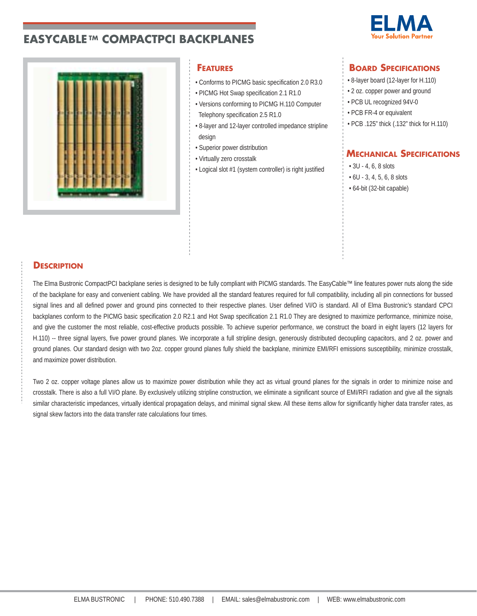# **EASYCABLE TM COMPACTPCI BACKPLANES**





- Conforms to PICMG basic specification 2.0 R3.0
- PICMG Hot Swap specification 2.1 R1.0
- Versions conforming to PICMG H.110 Computer Telephony specification 2.5 R1.0
- 8-layer and 12-layer controlled impedance stripline
- design
- Superior power distribution
- Virtually zero crosstalk
- Logical slot #1 (system controller) is right justified

# **FEATURES BOARD SPECIFICATIONS**

- 8-layer board (12-layer for H.110)
- 2 oz. copper power and ground
- PCB UL recognized 94V-0
- PCB FR-4 or equivalent
- PCB .125" thick (.132" thick for H.110)

## **MECHANICAL SPECIFICATIONS**

- 3U 4, 6, 8 slots
- 6U 3, 4, 5, 6, 8 slots
- 64-bit (32-bit capable)

### **DESCRIPTION**

The Elma Bustronic CompactPCI backplane series is designed to be fully compliant with PICMG standards. The EasyCable™ line features power nuts along the side of the backplane for easy and convenient cabling. We have provided all the standard features required for full compatibility, including all pin connections for bussed signal lines and all defined power and ground pins connected to their respective planes. User defined VI/O is standard. All of Elma Bustronic's standard CPCI backplanes conform to the PICMG basic specification 2.0 R2.1 and Hot Swap specification 2.1 R1.0 They are designed to maximize performance, minimize noise, and give the customer the most reliable, cost-effective products possible. To achieve superior performance, we construct the board in eight layers (12 layers for H.110) -- three signal layers, five power ground planes. We incorporate a full stripline design, generously distributed decoupling capacitors, and 2 oz. power and ground planes. Our standard design with two 2oz. copper ground planes fully shield the backplane, minimize EMI/RFI emissions susceptibility, minimize crosstalk, and maximize power distribution.

Two 2 oz. copper voltage planes allow us to maximize power distribution while they act as virtual ground planes for the signals in order to minimize noise and crosstalk. There is also a full VI/O plane. By exclusively utilizing stripline construction, we eliminate a significant source of EMI/RFI radiation and give all the signals similar characteristic impedances, virtually identical propagation delays, and minimal signal skew. All these items allow for significantly higher data transfer rates, as signal skew factors into the data transfer rate calculations four times.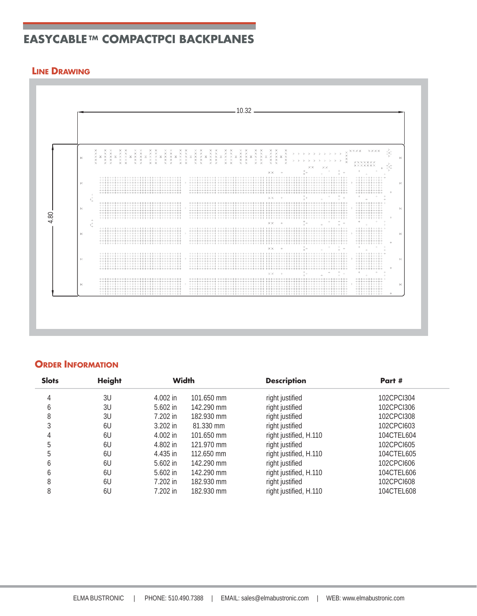# **EASYCABLE TM COMPACTPCI BACKPLANES**

## **LINE DRAWING**



## **ORDER INFORMATION**

| <b>Slots</b> | <b>Height</b> | <b>Width</b> |            | <b>Description</b>     | Part #     |
|--------------|---------------|--------------|------------|------------------------|------------|
| 4            | 3U            | $4.002$ in   | 101.650 mm | right justified        | 102CPCI304 |
| O            | 3U            | $5.602$ in   | 142.290 mm | right justified        | 102CPCI306 |
| 8            | 3U            | 7.202 in     | 182.930 mm | right justified        | 102CPCI308 |
| 3            | 6U            | $3.202$ in   | 81.330 mm  | right justified        | 102CPCI603 |
|              | 6U            | $4.002$ in   | 101.650 mm | right justified, H.110 | 104CTEL604 |
| 5            | 6U            | 4.802 in     | 121.970 mm | right justified        | 102CPCI605 |
| 5            | 6U            | 4.435 in     | 112.650 mm | right justified, H.110 | 104CTEL605 |
| b            | 6U            | 5.602 in     | 142.290 mm | right justified        | 102CPCI606 |
| 6            | 6U            | $5.602$ in   | 142.290 mm | right justified, H.110 | 104CTEL606 |
| 8            | 6U            | 7.202 in     | 182.930 mm | right justified        | 102CPCI608 |
| 8            | 6U            | 7.202 in     | 182.930 mm | right justified, H.110 | 104CTEL608 |